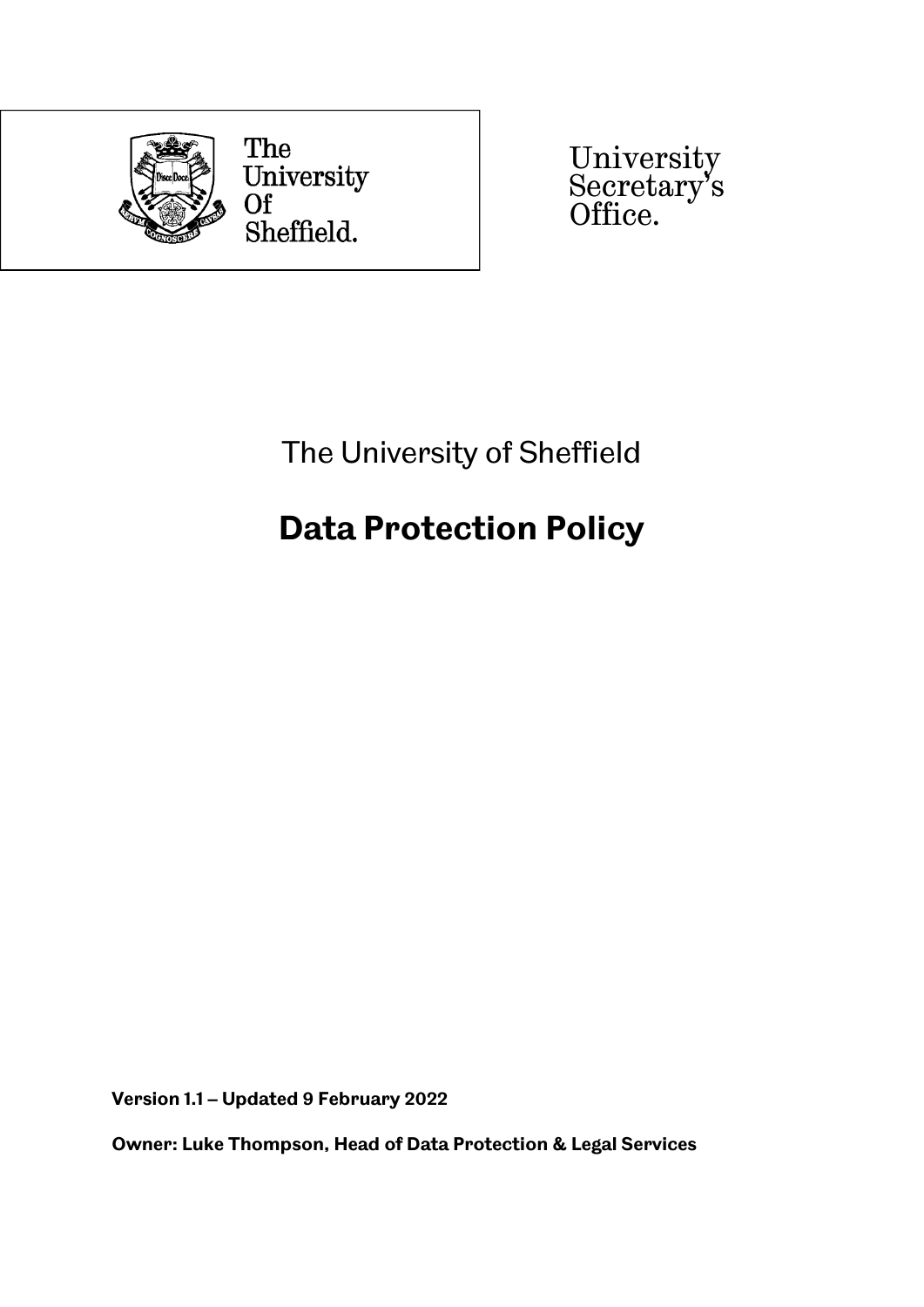

University Secretary's Office.

The University of Sheffield

# **Data Protection Policy**

**Version 1.1 – Updated 9 February 2022**

**Owner: Luke Thompson, Head of Data Protection & Legal Services**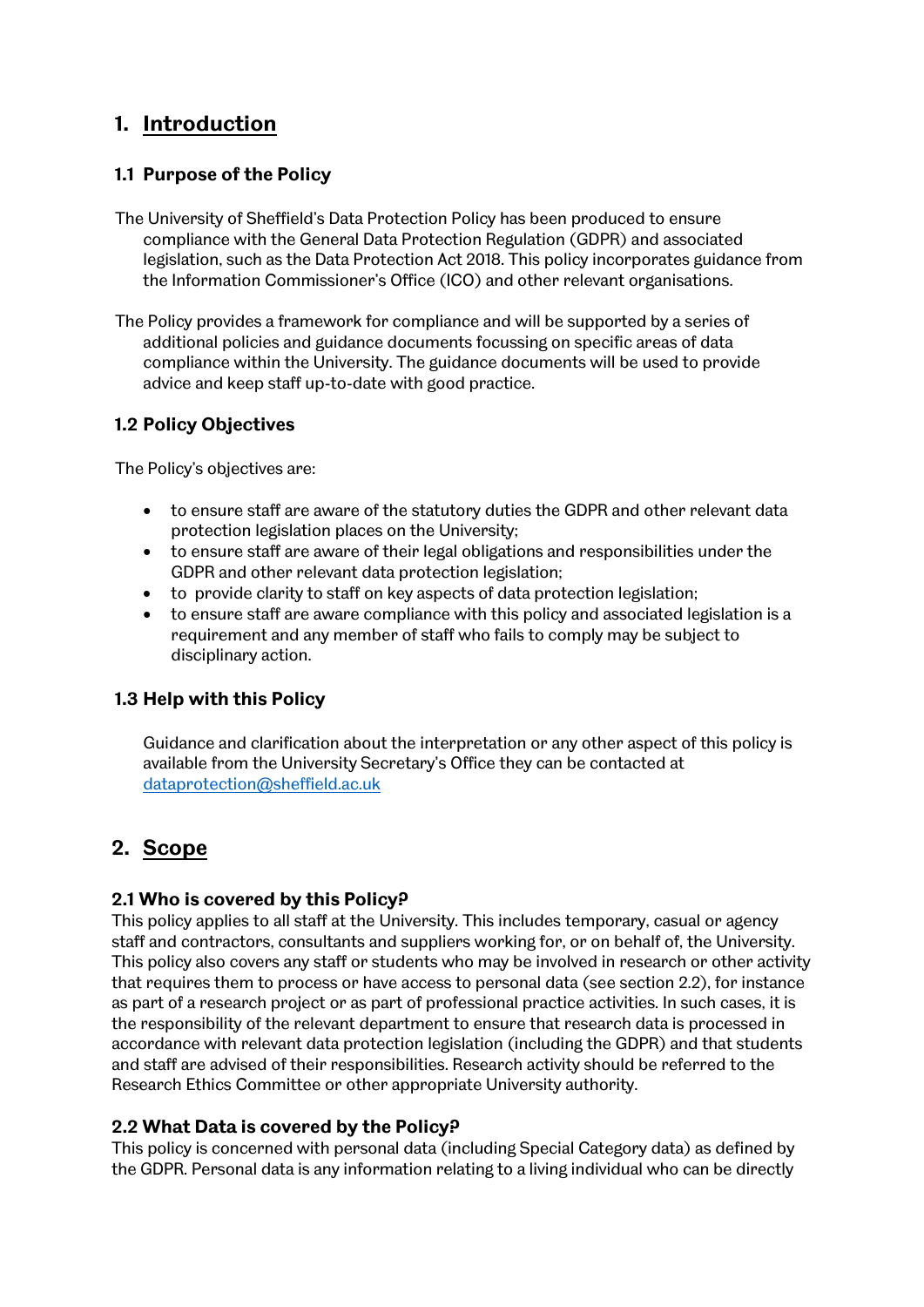# **1. Introduction**

# **1.1 Purpose of the Policy**

- The University of Sheffield's Data Protection Policy has been produced to ensure compliance with the General Data Protection Regulation (GDPR) and associated legislation, such as the Data Protection Act 2018. This policy incorporates guidance from the Information Commissioner's Office (ICO) and other relevant organisations.
- The Policy provides a framework for compliance and will be supported by a series of additional policies and guidance documents focussing on specific areas of data compliance within the University. The guidance documents will be used to provide advice and keep staff up-to-date with good practice.

# **1.2 Policy Objectives**

The Policy's objectives are:

- to ensure staff are aware of the statutory duties the GDPR and other relevant data protection legislation places on the University;
- to ensure staff are aware of their legal obligations and responsibilities under the GDPR and other relevant data protection legislation;
- to provide clarity to staff on key aspects of data protection legislation;
- to ensure staff are aware compliance with this policy and associated legislation is a requirement and any member of staff who fails to comply may be subject to disciplinary action.

# **1.3 Help with this Policy**

Guidance and clarification about the interpretation or any other aspect of this policy is available from the University Secretary's Office they can be contacted at [dataprotection@sheffield.ac.uk](mailto:dataprotection@sheffield.ac.uk)

# **2. Scope**

# **2.1 Who is covered by this Policy?**

This policy applies to all staff at the University. This includes temporary, casual or agency staff and contractors, consultants and suppliers working for, or on behalf of, the University. This policy also covers any staff or students who may be involved in research or other activity that requires them to process or have access to personal data (see section 2.2), for instance as part of a research project or as part of professional practice activities. In such cases, it is the responsibility of the relevant department to ensure that research data is processed in accordance with relevant data protection legislation (including the GDPR) and that students and staff are advised of their responsibilities. Research activity should be referred to the Research Ethics Committee or other appropriate University authority.

# **2.2 What Data is covered by the Policy?**

This policy is concerned with personal data (including Special Category data) as defined by the GDPR. Personal data is any information relating to a living individual who can be directly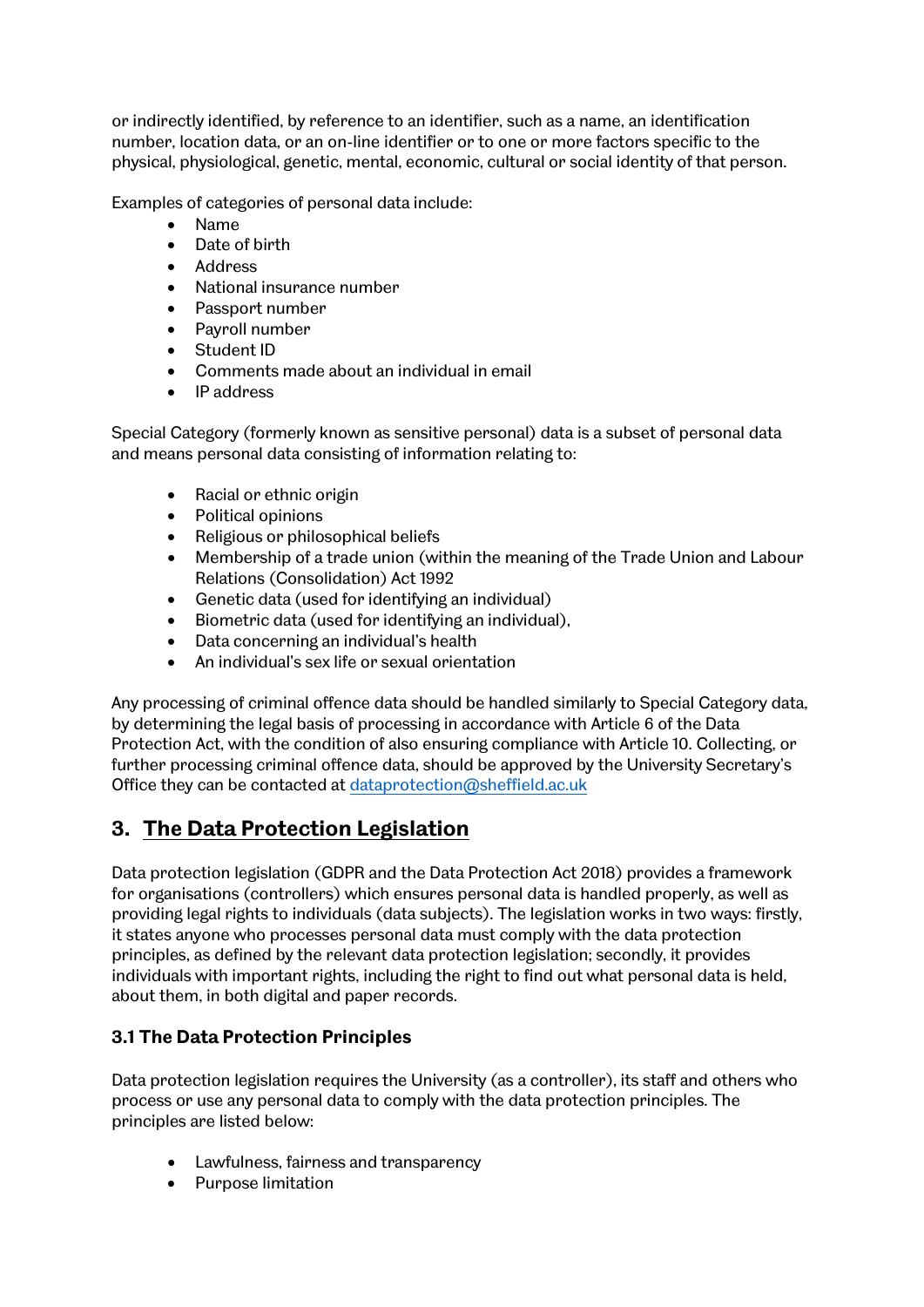or indirectly identified, by reference to an identifier, such as a name, an identification number, location data, or an on-line identifier or to one or more factors specific to the physical, physiological, genetic, mental, economic, cultural or social identity of that person.

Examples of categories of personal data include:

- Name
- Date of birth
- Address
- National insurance number
- Passport number
- Payroll number
- Student ID
- Comments made about an individual in email
- IP address

Special Category (formerly known as sensitive personal) data is a subset of personal data and means personal data consisting of information relating to:

- Racial or ethnic origin
- Political opinions
- Religious or philosophical beliefs
- Membership of a trade union (within the meaning of the Trade Union and Labour Relations (Consolidation) Act 1992
- Genetic data (used for identifying an individual)
- Biometric data (used for identifying an individual),
- Data concerning an individual's health
- An individual's sex life or sexual orientation

Any processing of criminal offence data should be handled similarly to Special Category data, by determining the legal basis of processing in accordance with Article 6 of the Data Protection Act, with the condition of also ensuring compliance with Article 10. Collecting, or further processing criminal offence data, should be approved by the University Secretary's Office they can be contacted at [dataprotection@sheffield.ac.uk](mailto:dataprotection@sheffield.ac.uk)

# **3. The Data Protection Legislation**

Data protection legislation (GDPR and the Data Protection Act 2018) provides a framework for organisations (controllers) which ensures personal data is handled properly, as well as providing legal rights to individuals (data subjects). The legislation works in two ways: firstly, it states anyone who processes personal data must comply with the data protection principles, as defined by the relevant data protection legislation; secondly, it provides individuals with important rights, including the right to find out what personal data is held, about them, in both digital and paper records.

# **3.1 The Data Protection Principles**

Data protection legislation requires the University (as a controller), its staff and others who process or use any personal data to comply with the data protection principles. The principles are listed below:

- Lawfulness, fairness and transparency
- Purpose limitation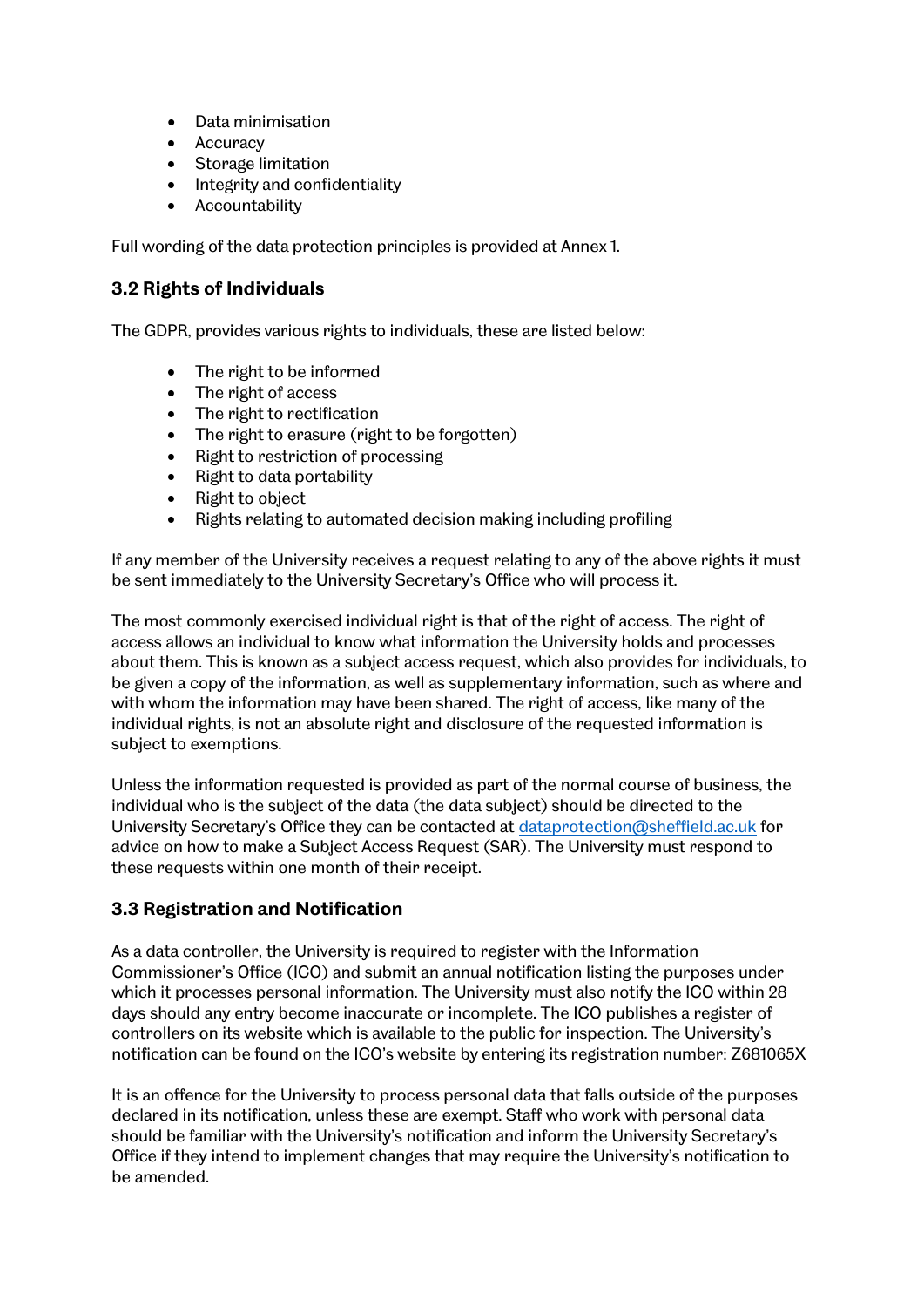- Data minimisation
- Accuracy
- Storage limitation
- Integrity and confidentiality
- **Accountability**

Full wording of the data protection principles is provided at Annex 1.

## **3.2 Rights of Individuals**

The GDPR, provides various rights to individuals, these are listed below:

- The right to be informed
- The right of access
- The right to rectification
- The right to erasure (right to be forgotten)
- Right to restriction of processing
- Right to data portability
- Right to object
- Rights relating to automated decision making including profiling

If any member of the University receives a request relating to any of the above rights it must be sent immediately to the University Secretary's Office who will process it.

The most commonly exercised individual right is that of the right of access. The right of access allows an individual to know what information the University holds and processes about them. This is known as a subject access request, which also provides for individuals, to be given a copy of the information, as well as supplementary information, such as where and with whom the information may have been shared. The right of access, like many of the individual rights, is not an absolute right and disclosure of the requested information is subject to exemptions.

Unless the information requested is provided as part of the normal course of business, the individual who is the subject of the data (the data subject) should be directed to the University Secretary's Office they can be contacted at [dataprotection@sheffield.ac.uk](mailto:dataprotection@sheffield.ac.uk) for advice on how to make a Subject Access Request (SAR). The University must respond to these requests within one month of their receipt.

# **3.3 Registration and Notification**

As a data controller, the University is required to register with the Information Commissioner's Office (ICO) and submit an annual notification listing the purposes under which it processes personal information. The University must also notify the ICO within 28 days should any entry become inaccurate or incomplete. The ICO publishes a register of controllers on its website which is available to the public for inspection. The University's notification can be found on the ICO's website by entering its registration number: Z681065X

It is an offence for the University to process personal data that falls outside of the purposes declared in its notification, unless these are exempt. Staff who work with personal data should be familiar with the University's notification and inform the University Secretary's Office if they intend to implement changes that may require the University's notification to be amended.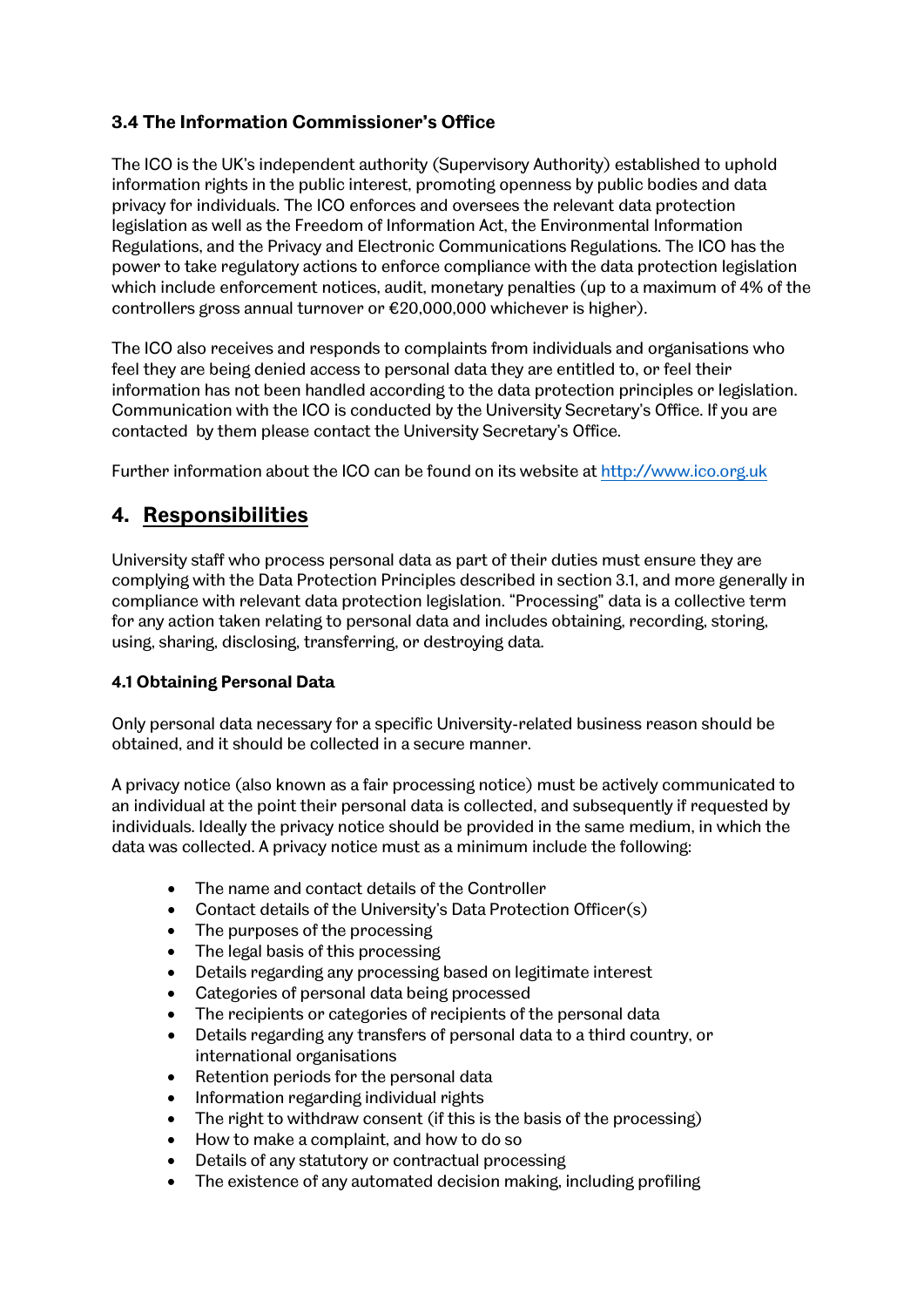# **3.4 The Information Commissioner's Office**

The ICO is the UK's independent authority (Supervisory Authority) established to uphold information rights in the public interest, promoting openness by public bodies and data privacy for individuals. The ICO enforces and oversees the relevant data protection legislation as well as the Freedom of Information Act, the Environmental Information Regulations, and the Privacy and Electronic Communications Regulations. The ICO has the power to take regulatory actions to enforce compliance with the data protection legislation which include enforcement notices, audit, monetary penalties (up to a maximum of 4% of the controllers gross annual turnover or €20,000,000 whichever is higher).

The ICO also receives and responds to complaints from individuals and organisations who feel they are being denied access to personal data they are entitled to, or feel their information has not been handled according to the data protection principles or legislation. Communication with the ICO is conducted by the University Secretary's Office. If you are contacted by them please contact the University Secretary's Office.

Further information about the ICO can be found on its website at [http://www.ico.org.uk](http://www.ico.org.uk/)

# **4. Responsibilities**

University staff who process personal data as part of their duties must ensure they are complying with the Data Protection Principles described in section 3.1, and more generally in compliance with relevant data protection legislation. "Processing" data is a collective term for any action taken relating to personal data and includes obtaining, recording, storing, using, sharing, disclosing, transferring, or destroying data.

# **4.1 Obtaining Personal Data**

Only personal data necessary for a specific University-related business reason should be obtained, and it should be collected in a secure manner.

A privacy notice (also known as a fair processing notice) must be actively communicated to an individual at the point their personal data is collected, and subsequently if requested by individuals. Ideally the privacy notice should be provided in the same medium, in which the data was collected. A privacy notice must as a minimum include the following:

- The name and contact details of the Controller
- Contact details of the University's Data Protection Officer(s)
- The purposes of the processing
- The legal basis of this processing
- Details regarding any processing based on legitimate interest
- Categories of personal data being processed
- The recipients or categories of recipients of the personal data
- Details regarding any transfers of personal data to a third country, or international organisations
- Retention periods for the personal data
- Information regarding individual rights
- The right to withdraw consent (if this is the basis of the processing)
- How to make a complaint, and how to do so
- Details of any statutory or contractual processing
- The existence of any automated decision making, including profiling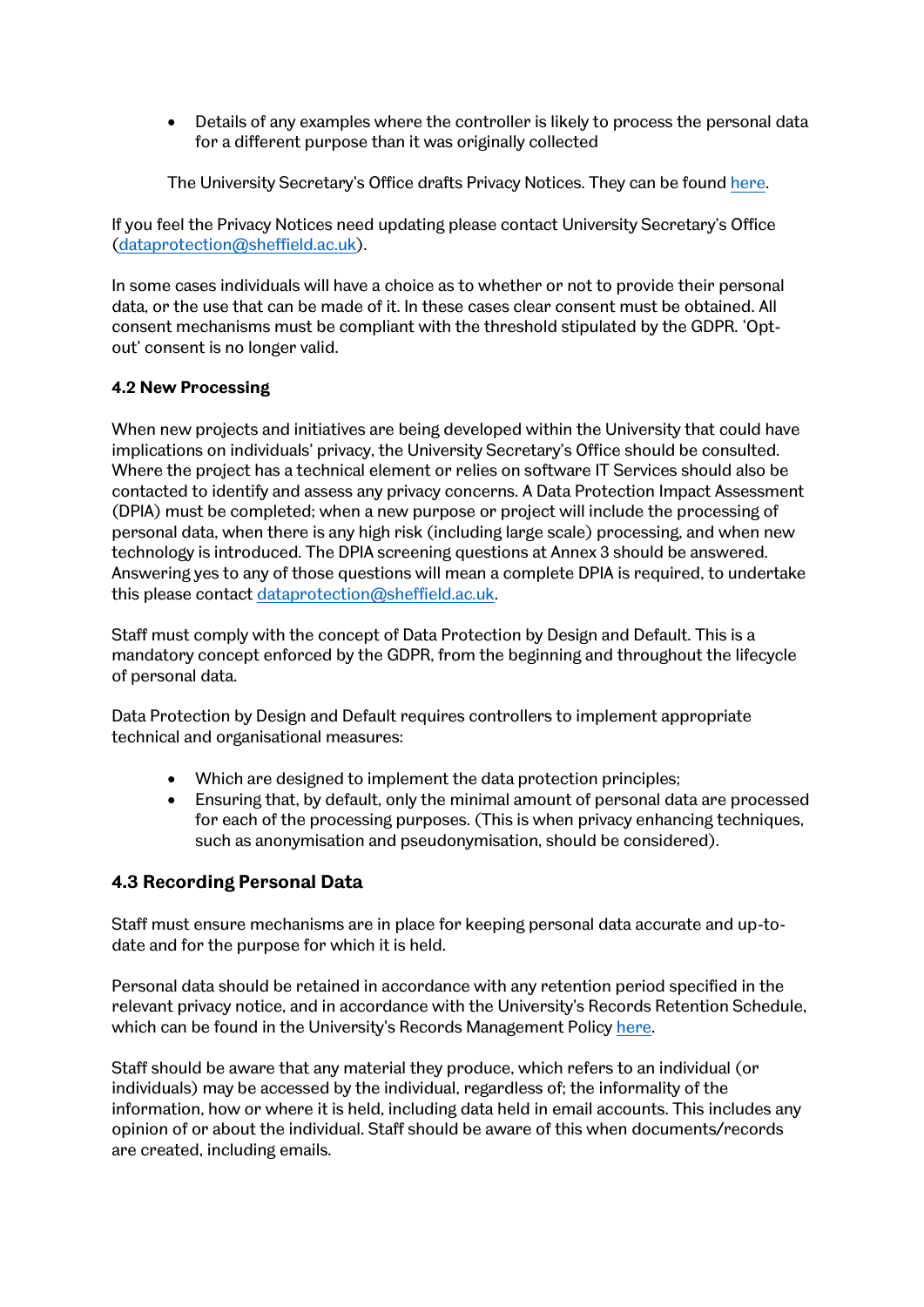• Details of any examples where the controller is likely to process the personal data for a different purpose than it was originally collected

The University Secretary's Office drafts Privacy Notices. They can be found [here.](https://www.sheffield.ac.uk/govern/data-protection/privacy)

If you feel the Privacy Notices need updating please contact University Secretary's Office [\(dataprotection@sheffield.ac.uk\)](mailto:dataprotection@sheffield.ac.uk).

In some cases individuals will have a choice as to whether or not to provide their personal data, or the use that can be made of it. In these cases clear consent must be obtained. All consent mechanisms must be compliant with the threshold stipulated by the GDPR. 'Optout' consent is no longer valid.

## **4.2 New Processing**

When new projects and initiatives are being developed within the University that could have implications on individuals' privacy, the University Secretary's Office should be consulted. Where the project has a technical element or relies on software IT Services should also be contacted to identify and assess any privacy concerns. A Data Protection Impact Assessment (DPIA) must be completed; when a new purpose or project will include the processing of personal data, when there is any high risk (including large scale) processing, and when new technology is introduced. The DPIA screening questions at Annex 3 should be answered. Answering yes to any of those questions will mean a complete DPIA is required, to undertake this please contact [dataprotection@sheffield.ac.uk.](mailto:dataprotection@sheffield.ac.uk)

Staff must comply with the concept of Data Protection by Design and Default. This is a mandatory concept enforced by the GDPR, from the beginning and throughout the lifecycle of personal data.

Data Protection by Design and Default requires controllers to implement appropriate technical and organisational measures:

- Which are designed to implement the data protection principles;
- Ensuring that, by default, only the minimal amount of personal data are processed for each of the processing purposes. (This is when privacy enhancing techniques, such as anonymisation and pseudonymisation, should be considered).

# **4.3 Recording Personal Data**

Staff must ensure mechanisms are in place for keeping personal data accurate and up-todate and for the purpose for which it is held.

Personal data should be retained in accordance with any retention period specified in the relevant privacy notice, and in accordance with the University's Records Retention Schedule, which can be found in the University's Records Management Policy [here.](https://www.sheffield.ac.uk/uso/info-gov/records2/policy)

Staff should be aware that any material they produce, which refers to an individual (or individuals) may be accessed by the individual, regardless of; the informality of the information, how or where it is held, including data held in email accounts. This includes any opinion of or about the individual. Staff should be aware of this when documents/records are created, including emails.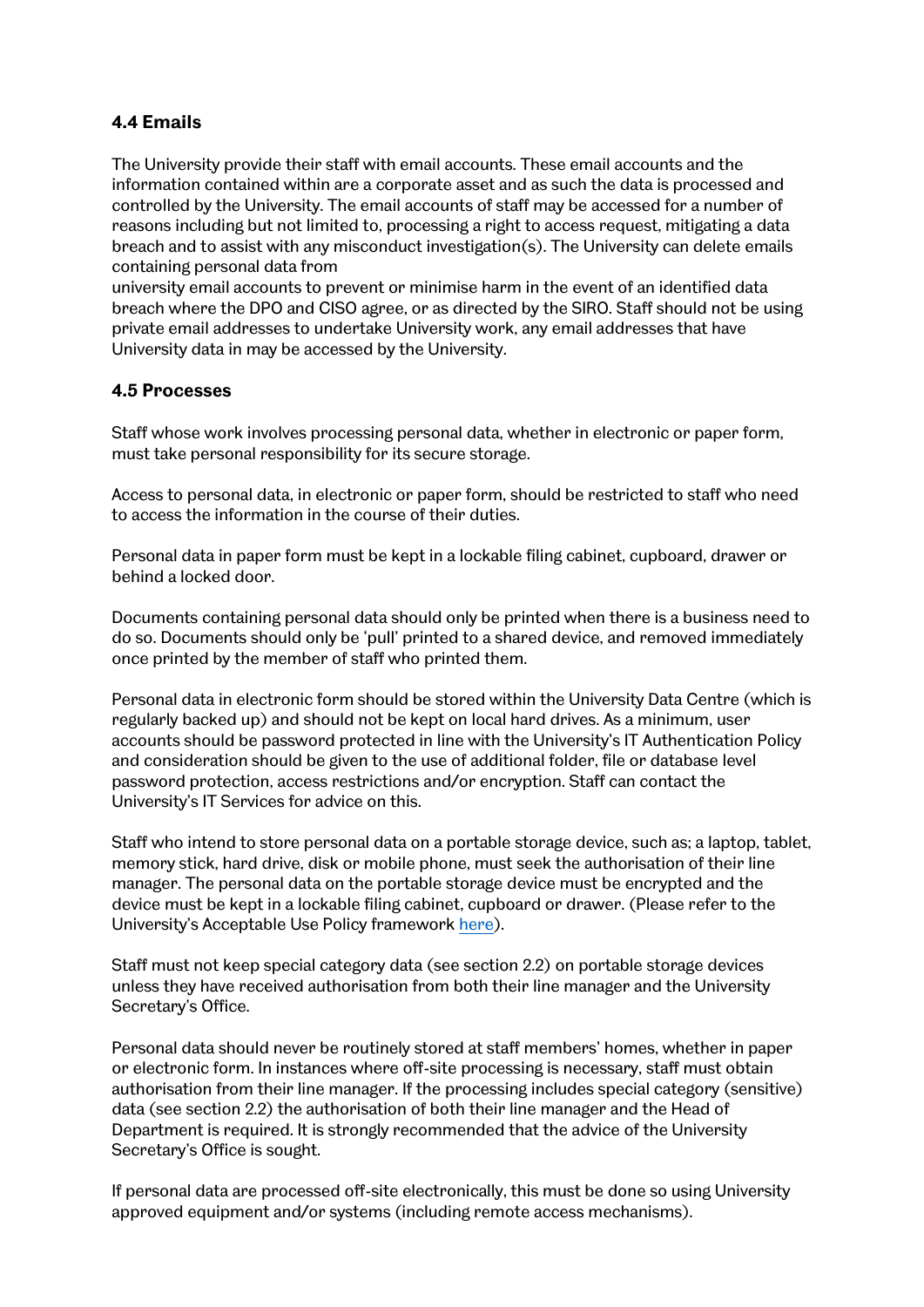# **4.4 Emails**

The University provide their staff with email accounts. These email accounts and the information contained within are a corporate asset and as such the data is processed and controlled by the University. The email accounts of staff may be accessed for a number of reasons including but not limited to, processing a right to access request, mitigating a data breach and to assist with any misconduct investigation(s). The University can delete emails containing personal data from

university email accounts to prevent or minimise harm in the event of an identified data breach where the DPO and CISO agree, or as directed by the SIRO. Staff should not be using private email addresses to undertake University work, any email addresses that have University data in may be accessed by the University.

#### **4.5 Processes**

Staff whose work involves processing personal data, whether in electronic or paper form, must take personal responsibility for its secure storage.

Access to personal data, in electronic or paper form, should be restricted to staff who need to access the information in the course of their duties.

Personal data in paper form must be kept in a lockable filing cabinet, cupboard, drawer or behind a locked door.

Documents containing personal data should only be printed when there is a business need to do so. Documents should only be 'pull' printed to a shared device, and removed immediately once printed by the member of staff who printed them.

Personal data in electronic form should be stored within the University Data Centre (which is regularly backed up) and should not be kept on local hard drives. As a minimum, user accounts should be password protected in line with the University's IT Authentication Policy and consideration should be given to the use of additional folder, file or database level password protection, access restrictions and/or encryption. Staff can contact the University's IT Services for advice on this.

Staff who intend to store personal data on a portable storage device, such as; a laptop, tablet, memory stick, hard drive, disk or mobile phone, must seek the authorisation of their line manager. The personal data on the portable storage device must be encrypted and the device must be kept in a lockable filing cabinet, cupboard or drawer. (Please refer to the University's Acceptable Use Policy framewor[k here\)](https://www.sheffield.ac.uk/polopoly_fs/1.527300!/file/ITCodeofPracticeGuidanceNotes.pdf).

Staff must not keep special category data (see section 2.2) on portable storage devices unless they have received authorisation from both their line manager and the University Secretary's Office.

Personal data should never be routinely stored at staff members' homes, whether in paper or electronic form. In instances where off-site processing is necessary, staff must obtain authorisation from their line manager. If the processing includes special category (sensitive) data (see section 2.2) the authorisation of both their line manager and the Head of Department is required. It is strongly recommended that the advice of the University Secretary's Office is sought.

If personal data are processed off-site electronically, this must be done so using University approved equipment and/or systems (including remote access mechanisms).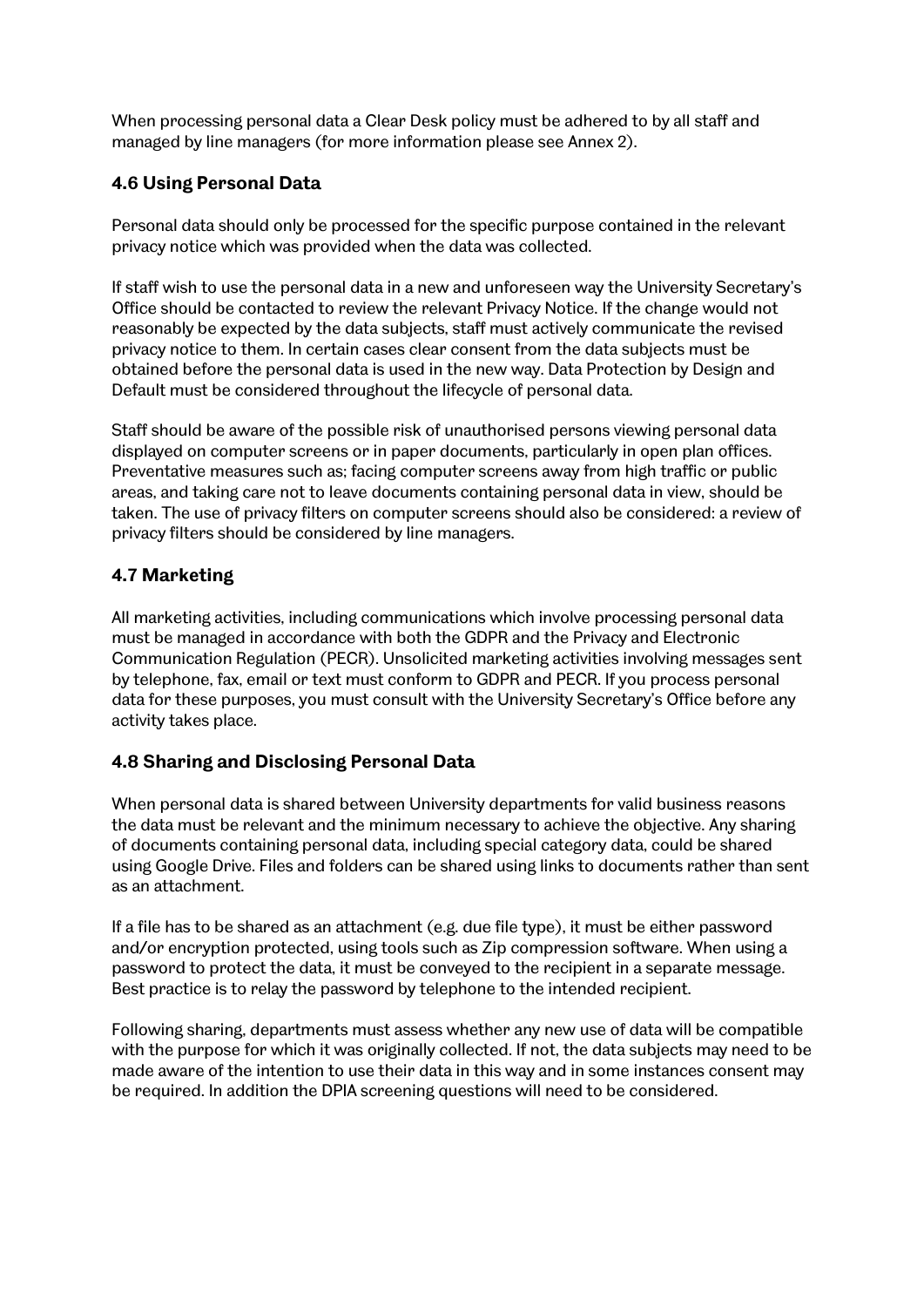When processing personal data a Clear Desk policy must be adhered to by all staff and managed by line managers (for more information please see Annex 2).

# **4.6 Using Personal Data**

Personal data should only be processed for the specific purpose contained in the relevant privacy notice which was provided when the data was collected.

If staff wish to use the personal data in a new and unforeseen way the University Secretary's Office should be contacted to review the relevant Privacy Notice. If the change would not reasonably be expected by the data subjects, staff must actively communicate the revised privacy notice to them. In certain cases clear consent from the data subjects must be obtained before the personal data is used in the new way. Data Protection by Design and Default must be considered throughout the lifecycle of personal data.

Staff should be aware of the possible risk of unauthorised persons viewing personal data displayed on computer screens or in paper documents, particularly in open plan offices. Preventative measures such as; facing computer screens away from high traffic or public areas, and taking care not to leave documents containing personal data in view, should be taken. The use of privacy filters on computer screens should also be considered: a review of privacy filters should be considered by line managers.

# **4.7 Marketing**

All marketing activities, including communications which involve processing personal data must be managed in accordance with both the GDPR and the Privacy and Electronic Communication Regulation (PECR). Unsolicited marketing activities involving messages sent by telephone, fax, email or text must conform to GDPR and PECR. If you process personal data for these purposes, you must consult with the University Secretary's Office before any activity takes place.

# **4.8 Sharing and Disclosing Personal Data**

When personal data is shared between University departments for valid business reasons the data must be relevant and the minimum necessary to achieve the objective. Any sharing of documents containing personal data, including special category data, could be shared using Google Drive. Files and folders can be shared using links to documents rather than sent as an attachment.

If a file has to be shared as an attachment (e.g. due file type), it must be either password and/or encryption protected, using tools such as Zip compression software. When using a password to protect the data, it must be conveyed to the recipient in a separate message. Best practice is to relay the password by telephone to the intended recipient.

Following sharing, departments must assess whether any new use of data will be compatible with the purpose for which it was originally collected. If not, the data subjects may need to be made aware of the intention to use their data in this way and in some instances consent may be required. In addition the DPIA screening questions will need to be considered.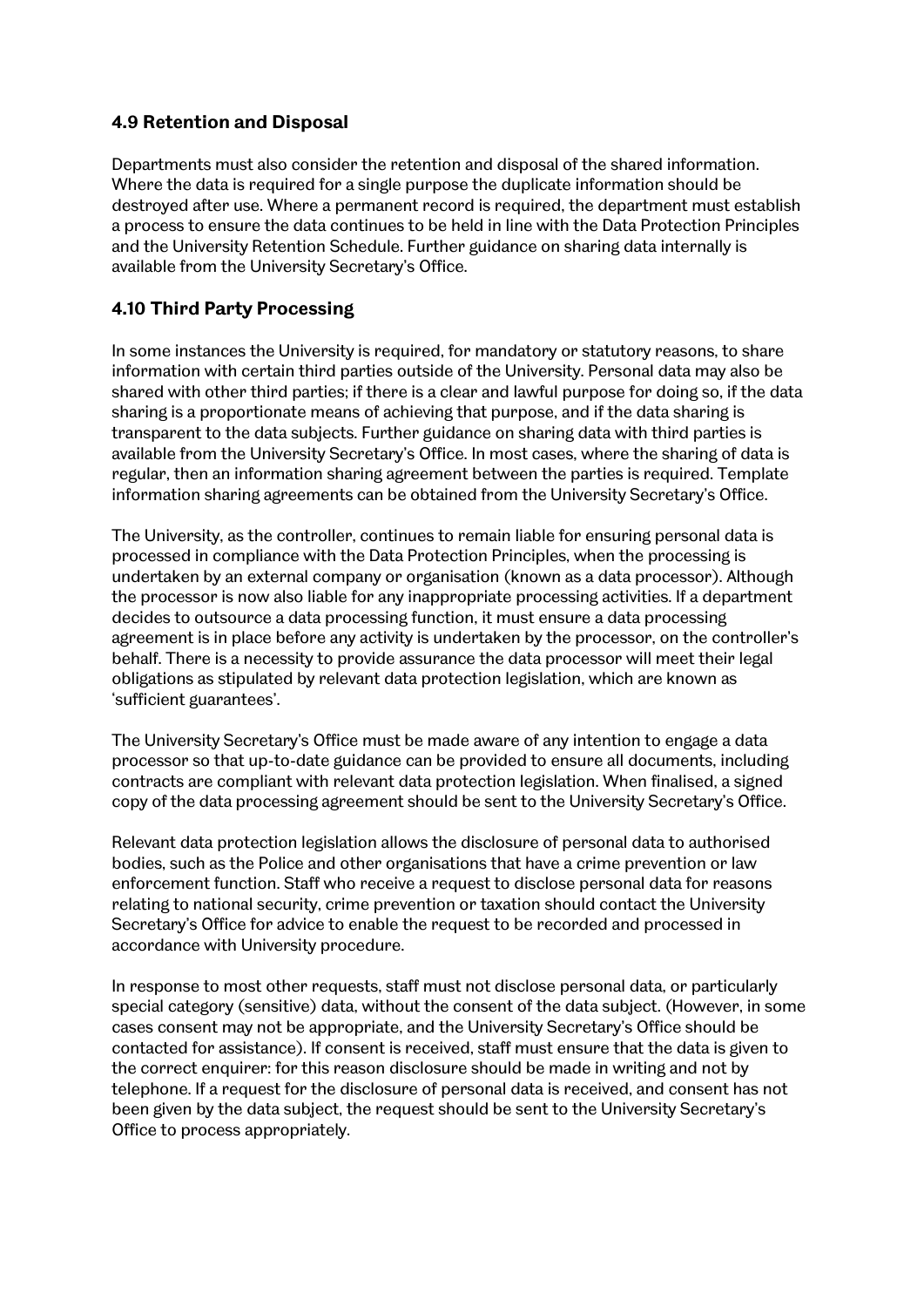## **4.9 Retention and Disposal**

Departments must also consider the retention and disposal of the shared information. Where the data is required for a single purpose the duplicate information should be destroyed after use. Where a permanent record is required, the department must establish a process to ensure the data continues to be held in line with the Data Protection Principles and the University Retention Schedule. Further guidance on sharing data internally is available from the University Secretary's Office.

# **4.10 Third Party Processing**

In some instances the University is required, for mandatory or statutory reasons, to share information with certain third parties outside of the University. Personal data may also be shared with other third parties; if there is a clear and lawful purpose for doing so, if the data sharing is a proportionate means of achieving that purpose, and if the data sharing is transparent to the data subjects. Further guidance on sharing data with third parties is available from the University Secretary's Office. In most cases, where the sharing of data is regular, then an information sharing agreement between the parties is required. Template information sharing agreements can be obtained from the University Secretary's Office.

The University, as the controller, continues to remain liable for ensuring personal data is processed in compliance with the Data Protection Principles, when the processing is undertaken by an external company or organisation (known as a data processor). Although the processor is now also liable for any inappropriate processing activities. If a department decides to outsource a data processing function, it must ensure a data processing agreement is in place before any activity is undertaken by the processor, on the controller's behalf. There is a necessity to provide assurance the data processor will meet their legal obligations as stipulated by relevant data protection legislation, which are known as 'sufficient guarantees'.

The University Secretary's Office must be made aware of any intention to engage a data processor so that up-to-date guidance can be provided to ensure all documents, including contracts are compliant with relevant data protection legislation. When finalised, a signed copy of the data processing agreement should be sent to the University Secretary's Office.

Relevant data protection legislation allows the disclosure of personal data to authorised bodies, such as the Police and other organisations that have a crime prevention or law enforcement function. Staff who receive a request to disclose personal data for reasons relating to national security, crime prevention or taxation should contact the University Secretary's Office for advice to enable the request to be recorded and processed in accordance with University procedure.

In response to most other requests, staff must not disclose personal data, or particularly special category (sensitive) data, without the consent of the data subject. (However, in some cases consent may not be appropriate, and the University Secretary's Office should be contacted for assistance). If consent is received, staff must ensure that the data is given to the correct enquirer: for this reason disclosure should be made in writing and not by telephone. If a request for the disclosure of personal data is received, and consent has not been given by the data subject, the request should be sent to the University Secretary's Office to process appropriately.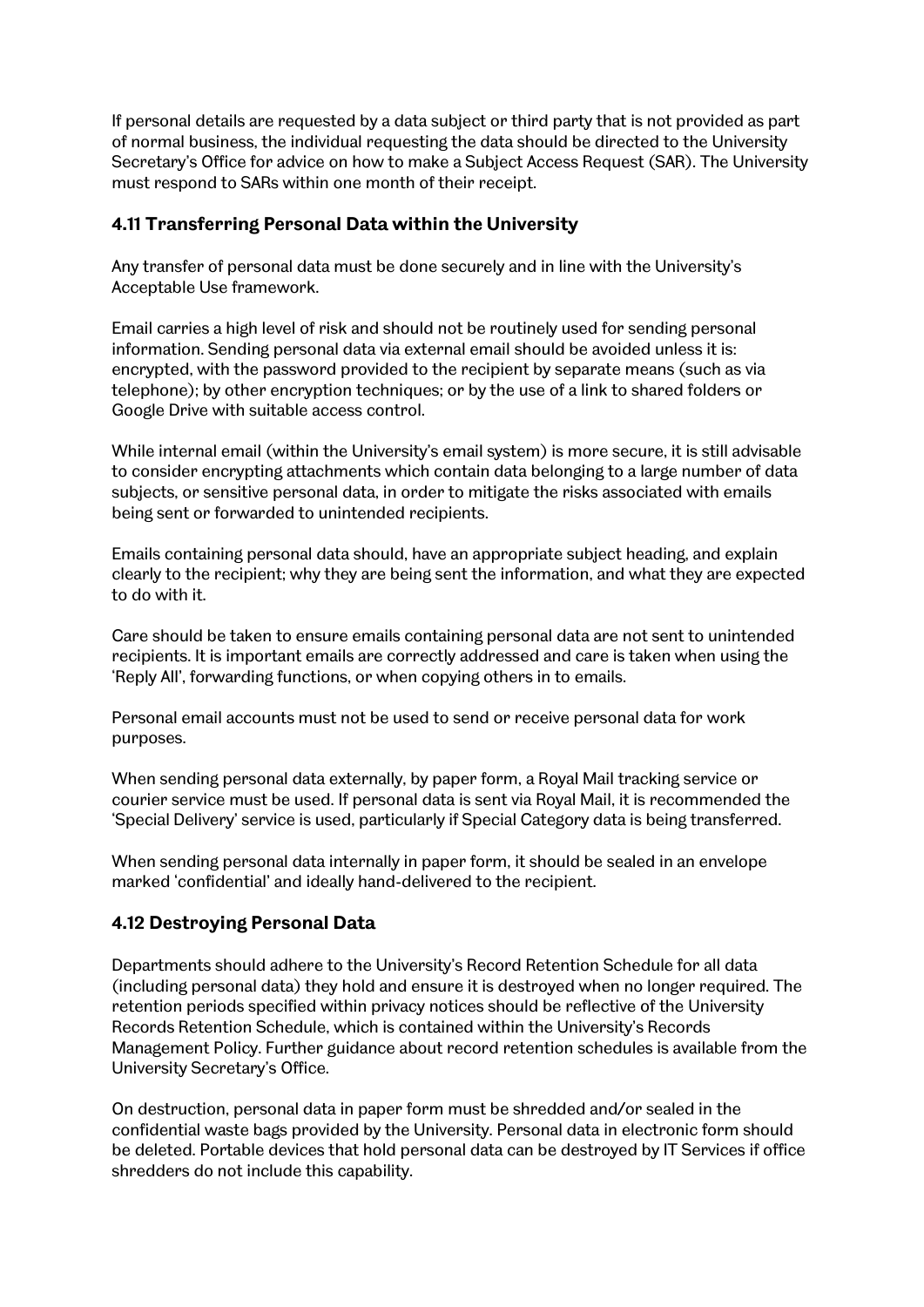If personal details are requested by a data subject or third party that is not provided as part of normal business, the individual requesting the data should be directed to the University Secretary's Office for advice on how to make a Subject Access Request (SAR). The University must respond to SARs within one month of their receipt.

## **4.11 Transferring Personal Data within the University**

Any transfer of personal data must be done securely and in line with the University's Acceptable Use framework.

Email carries a high level of risk and should not be routinely used for sending personal information. Sending personal data via external email should be avoided unless it is: encrypted, with the password provided to the recipient by separate means (such as via telephone); by other encryption techniques; or by the use of a link to shared folders or Google Drive with suitable access control.

While internal email (within the University's email system) is more secure, it is still advisable to consider encrypting attachments which contain data belonging to a large number of data subjects, or sensitive personal data, in order to mitigate the risks associated with emails being sent or forwarded to unintended recipients.

Emails containing personal data should, have an appropriate subject heading, and explain clearly to the recipient; why they are being sent the information, and what they are expected to do with it.

Care should be taken to ensure emails containing personal data are not sent to unintended recipients. It is important emails are correctly addressed and care is taken when using the 'Reply All', forwarding functions, or when copying others in to emails.

Personal email accounts must not be used to send or receive personal data for work purposes.

When sending personal data externally, by paper form, a Royal Mail tracking service or courier service must be used. If personal data is sent via Royal Mail, it is recommended the 'Special Delivery' service is used, particularly if Special Category data is being transferred.

When sending personal data internally in paper form, it should be sealed in an envelope marked 'confidential' and ideally hand-delivered to the recipient.

#### **4.12 Destroying Personal Data**

Departments should adhere to the University's Record Retention Schedule for all data (including personal data) they hold and ensure it is destroyed when no longer required. The retention periods specified within privacy notices should be reflective of the University Records Retention Schedule, which is contained within the University's Records Management Policy. Further guidance about record retention schedules is available from the University Secretary's Office.

On destruction, personal data in paper form must be shredded and/or sealed in the confidential waste bags provided by the University. Personal data in electronic form should be deleted. Portable devices that hold personal data can be destroyed by IT Services if office shredders do not include this capability.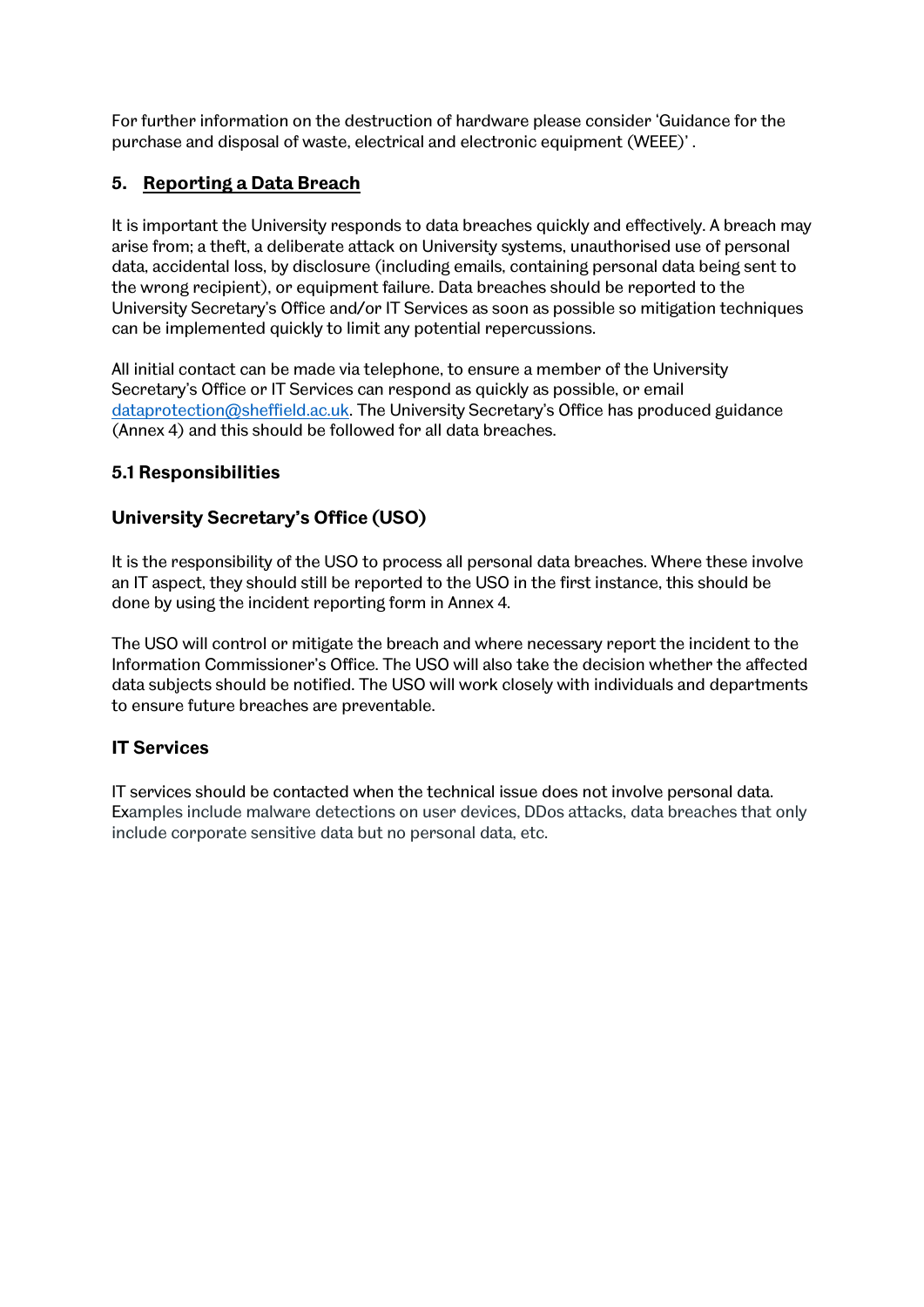For further information on the destruction of hardware please consider 'Guidance for the purchase and disposal of waste, electrical and electronic equipment (WEEE)' .

# **5. Reporting a Data Breach**

It is important the University responds to data breaches quickly and effectively. A breach may arise from; a theft, a deliberate attack on University systems, unauthorised use of personal data, accidental loss, by disclosure (including emails, containing personal data being sent to the wrong recipient), or equipment failure. Data breaches should be reported to the University Secretary's Office and/or IT Services as soon as possible so mitigation techniques can be implemented quickly to limit any potential repercussions.

All initial contact can be made via telephone, to ensure a member of the University Secretary's Office or IT Services can respond as quickly as possible, or email [dataprotection@sheffield.ac.uk. T](mailto:dataprotection@sheffield.ac.uk)he University Secretary's Office has produced guidance (Annex 4) and this should be followed for all data breaches.

# **5.1 Responsibilities**

# **University Secretary's Office (USO)**

It is the responsibility of the USO to process all personal data breaches. Where these involve an IT aspect, they should still be reported to the USO in the first instance, this should be done by using the incident reporting form in Annex 4.

The USO will control or mitigate the breach and where necessary report the incident to the Information Commissioner's Office. The USO will also take the decision whether the affected data subjects should be notified. The USO will work closely with individuals and departments to ensure future breaches are preventable.

# **IT Services**

IT services should be contacted when the technical issue does not involve personal data. Examples include malware detections on user devices, DDos attacks, data breaches that only include corporate sensitive data but no personal data, etc.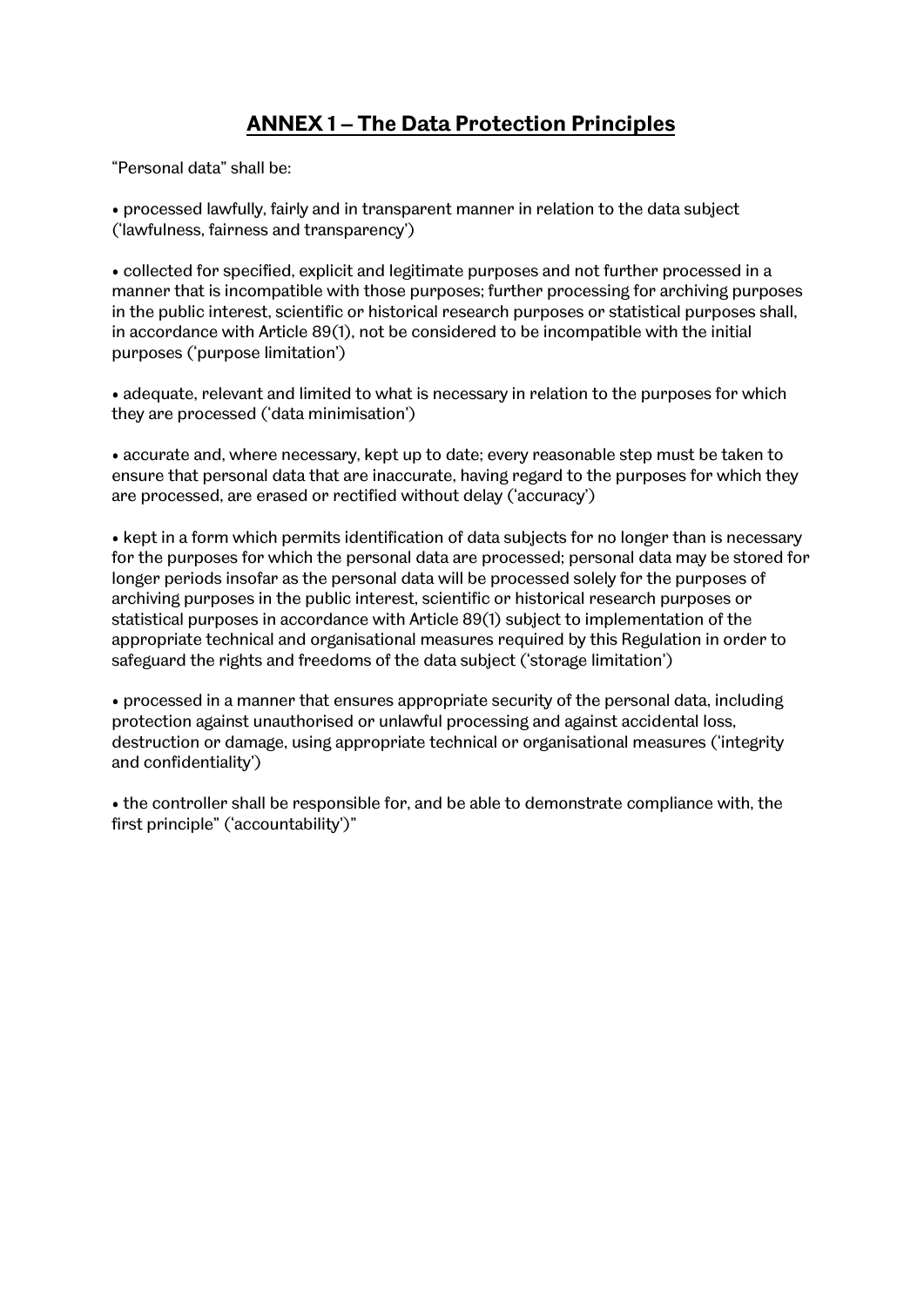# **ANNEX 1 – The Data Protection Principles**

"Personal data" shall be:

• processed lawfully, fairly and in transparent manner in relation to the data subject ('lawfulness, fairness and transparency')

• collected for specified, explicit and legitimate purposes and not further processed in a manner that is incompatible with those purposes; further processing for archiving purposes in the public interest, scientific or historical research purposes or statistical purposes shall, in accordance with Article 89(1), not be considered to be incompatible with the initial purposes ('purpose limitation')

• adequate, relevant and limited to what is necessary in relation to the purposes for which they are processed ('data minimisation')

• accurate and, where necessary, kept up to date; every reasonable step must be taken to ensure that personal data that are inaccurate, having regard to the purposes for which they are processed, are erased or rectified without delay ('accuracy')

• kept in a form which permits identification of data subjects for no longer than is necessary for the purposes for which the personal data are processed; personal data may be stored for longer periods insofar as the personal data will be processed solely for the purposes of archiving purposes in the public interest, scientific or historical research purposes or statistical purposes in accordance with Article 89(1) subject to implementation of the appropriate technical and organisational measures required by this Regulation in order to safeguard the rights and freedoms of the data subject ('storage limitation')

• processed in a manner that ensures appropriate security of the personal data, including protection against unauthorised or unlawful processing and against accidental loss, destruction or damage, using appropriate technical or organisational measures ('integrity and confidentiality')

• the controller shall be responsible for, and be able to demonstrate compliance with, the first principle" ('accountability')"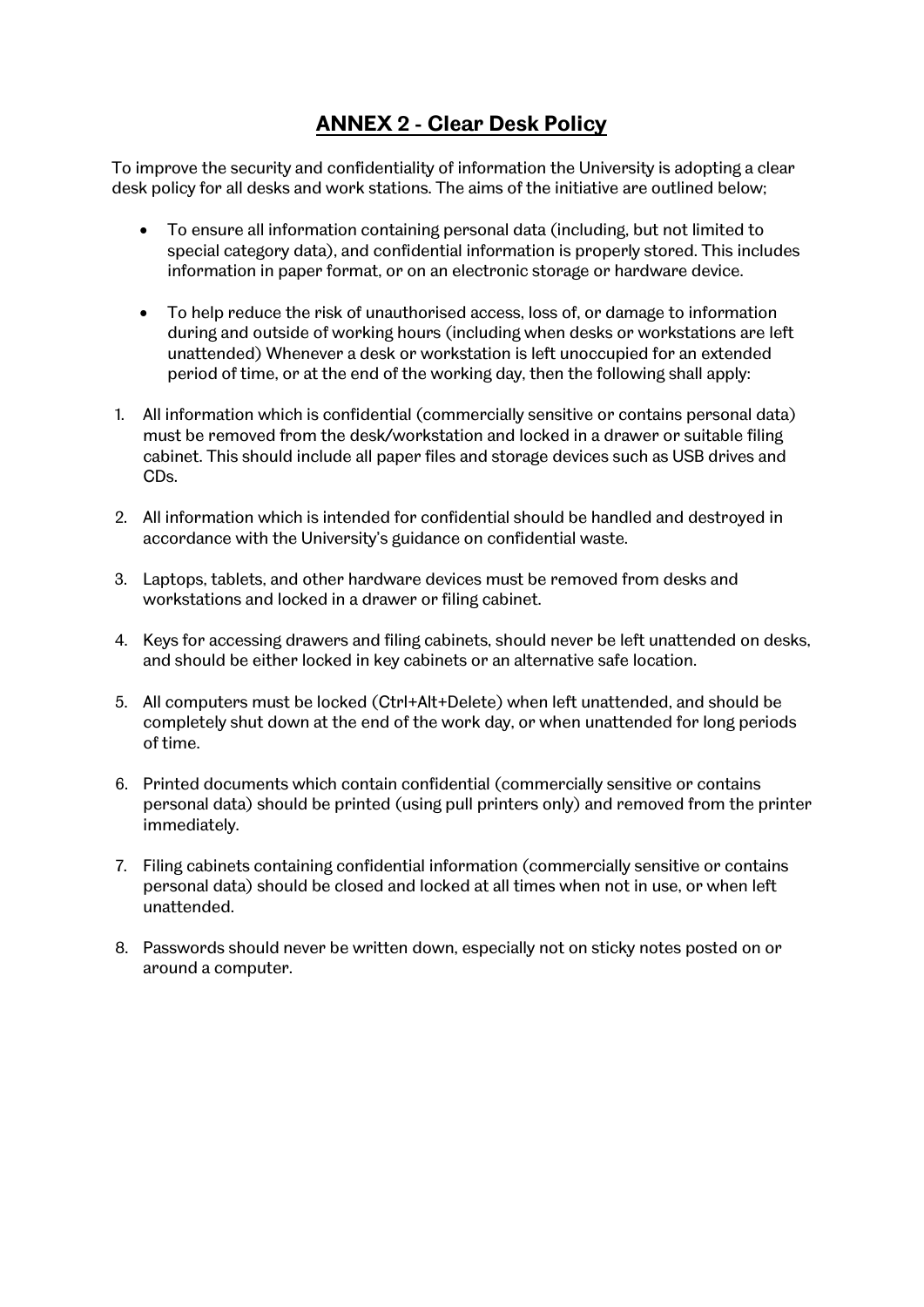# **ANNEX 2 - Clear Desk Policy**

To improve the security and confidentiality of information the University is adopting a clear desk policy for all desks and work stations. The aims of the initiative are outlined below;

- To ensure all information containing personal data (including, but not limited to special category data), and confidential information is properly stored. This includes information in paper format, or on an electronic storage or hardware device.
- To help reduce the risk of unauthorised access, loss of, or damage to information during and outside of working hours (including when desks or workstations are left unattended) Whenever a desk or workstation is left unoccupied for an extended period of time, or at the end of the working day, then the following shall apply:
- 1. All information which is confidential (commercially sensitive or contains personal data) must be removed from the desk/workstation and locked in a drawer or suitable filing cabinet. This should include all paper files and storage devices such as USB drives and CDs.
- 2. All information which is intended for confidential should be handled and destroyed in accordance with the University's guidance on confidential waste.
- 3. Laptops, tablets, and other hardware devices must be removed from desks and workstations and locked in a drawer or filing cabinet.
- 4. Keys for accessing drawers and filing cabinets, should never be left unattended on desks, and should be either locked in key cabinets or an alternative safe location.
- 5. All computers must be locked (Ctrl+Alt+Delete) when left unattended, and should be completely shut down at the end of the work day, or when unattended for long periods of time.
- 6. Printed documents which contain confidential (commercially sensitive or contains personal data) should be printed (using pull printers only) and removed from the printer immediately.
- 7. Filing cabinets containing confidential information (commercially sensitive or contains personal data) should be closed and locked at all times when not in use, or when left unattended.
- 8. Passwords should never be written down, especially not on sticky notes posted on or around a computer.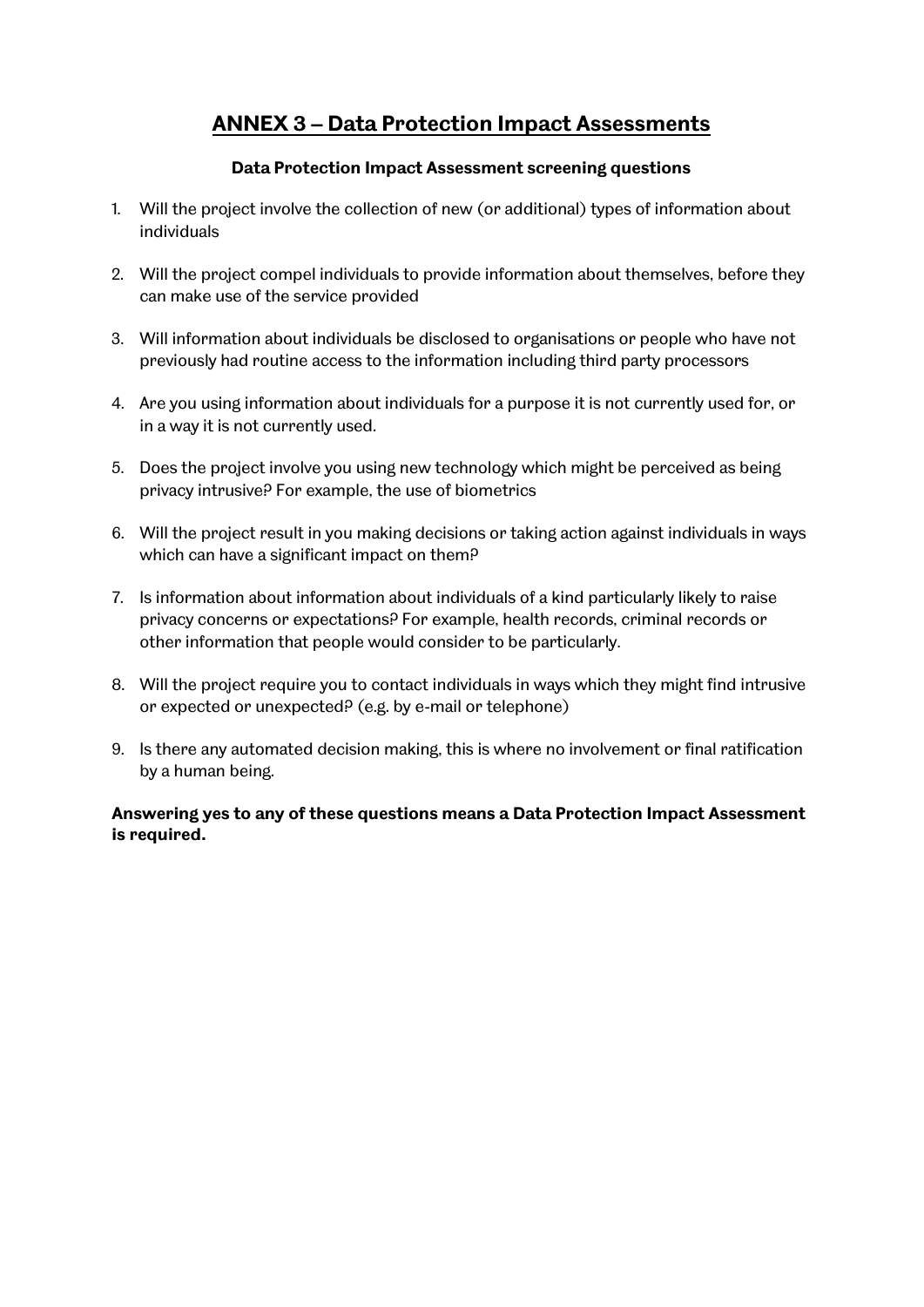# **ANNEX 3 – Data Protection Impact Assessments**

## **Data Protection Impact Assessment screening questions**

- 1. Will the project involve the collection of new (or additional) types of information about individuals
- 2. Will the project compel individuals to provide information about themselves, before they can make use of the service provided
- 3. Will information about individuals be disclosed to organisations or people who have not previously had routine access to the information including third party processors
- 4. Are you using information about individuals for a purpose it is not currently used for, or in a way it is not currently used.
- 5. Does the project involve you using new technology which might be perceived as being privacy intrusive? For example, the use of biometrics
- 6. Will the project result in you making decisions or taking action against individuals in ways which can have a significant impact on them?
- 7. Is information about information about individuals of a kind particularly likely to raise privacy concerns or expectations? For example, health records, criminal records or other information that people would consider to be particularly.
- 8. Will the project require you to contact individuals in ways which they might find intrusive or expected or unexpected? (e.g. by e-mail or telephone)
- 9. Is there any automated decision making, this is where no involvement or final ratification by a human being.

## **Answering yes to any of these questions means a Data Protection Impact Assessment is required.**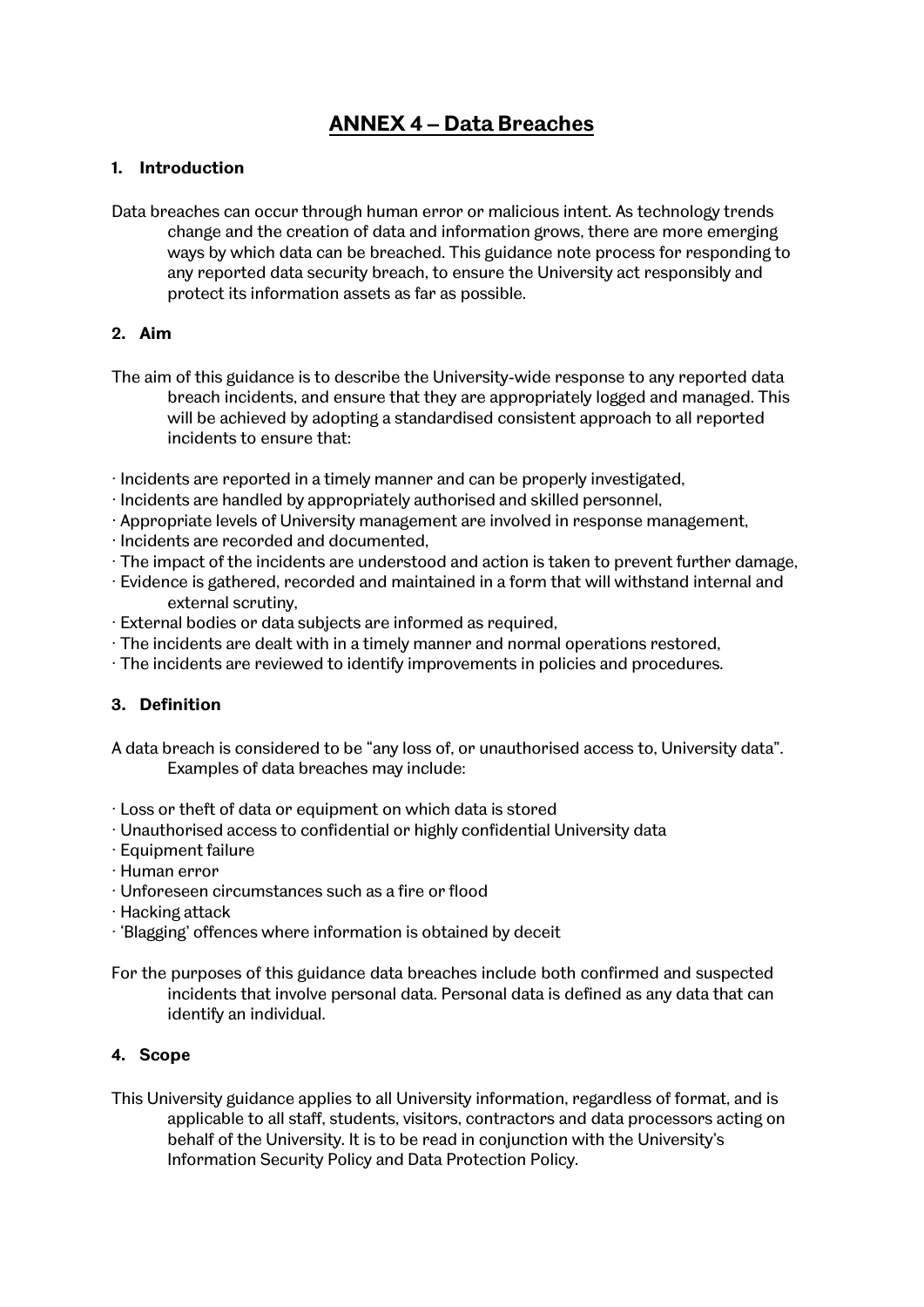# **ANNEX 4 – Data Breaches**

#### **1. Introduction**

Data breaches can occur through human error or malicious intent. As technology trends change and the creation of data and information grows, there are more emerging ways by which data can be breached. This guidance note process for responding to any reported data security breach, to ensure the University act responsibly and protect its information assets as far as possible.

## **2. Aim**

- The aim of this guidance is to describe the University-wide response to any reported data breach incidents, and ensure that they are appropriately logged and managed. This will be achieved by adopting a standardised consistent approach to all reported incidents to ensure that:
- ∙ Incidents are reported in a timely manner and can be properly investigated,
- ∙ Incidents are handled by appropriately authorised and skilled personnel,
- ∙ Appropriate levels of University management are involved in response management,
- ∙ Incidents are recorded and documented,
- ∙ The impact of the incidents are understood and action is taken to prevent further damage,
- ∙ Evidence is gathered, recorded and maintained in a form that will withstand internal and external scrutiny,
- ∙ External bodies or data subjects are informed as required,
- ∙ The incidents are dealt with in a timely manner and normal operations restored,
- ∙ The incidents are reviewed to identify improvements in policies and procedures.

#### **3. Definition**

A data breach is considered to be "any loss of, or unauthorised access to, University data". Examples of data breaches may include:

- ∙ Loss or theft of data or equipment on which data is stored
- ∙ Unauthorised access to confidential or highly confidential University data
- ∙ Equipment failure
- ∙ Human error
- ∙ Unforeseen circumstances such as a fire or flood
- ∙ Hacking attack
- ∙ 'Blagging' offences where information is obtained by deceit
- For the purposes of this guidance data breaches include both confirmed and suspected incidents that involve personal data. Personal data is defined as any data that can identify an individual.

#### **4. Scope**

This University guidance applies to all University information, regardless of format, and is applicable to all staff, students, visitors, contractors and data processors acting on behalf of the University. It is to be read in conjunction with the University's Information Security Policy and Data Protection Policy.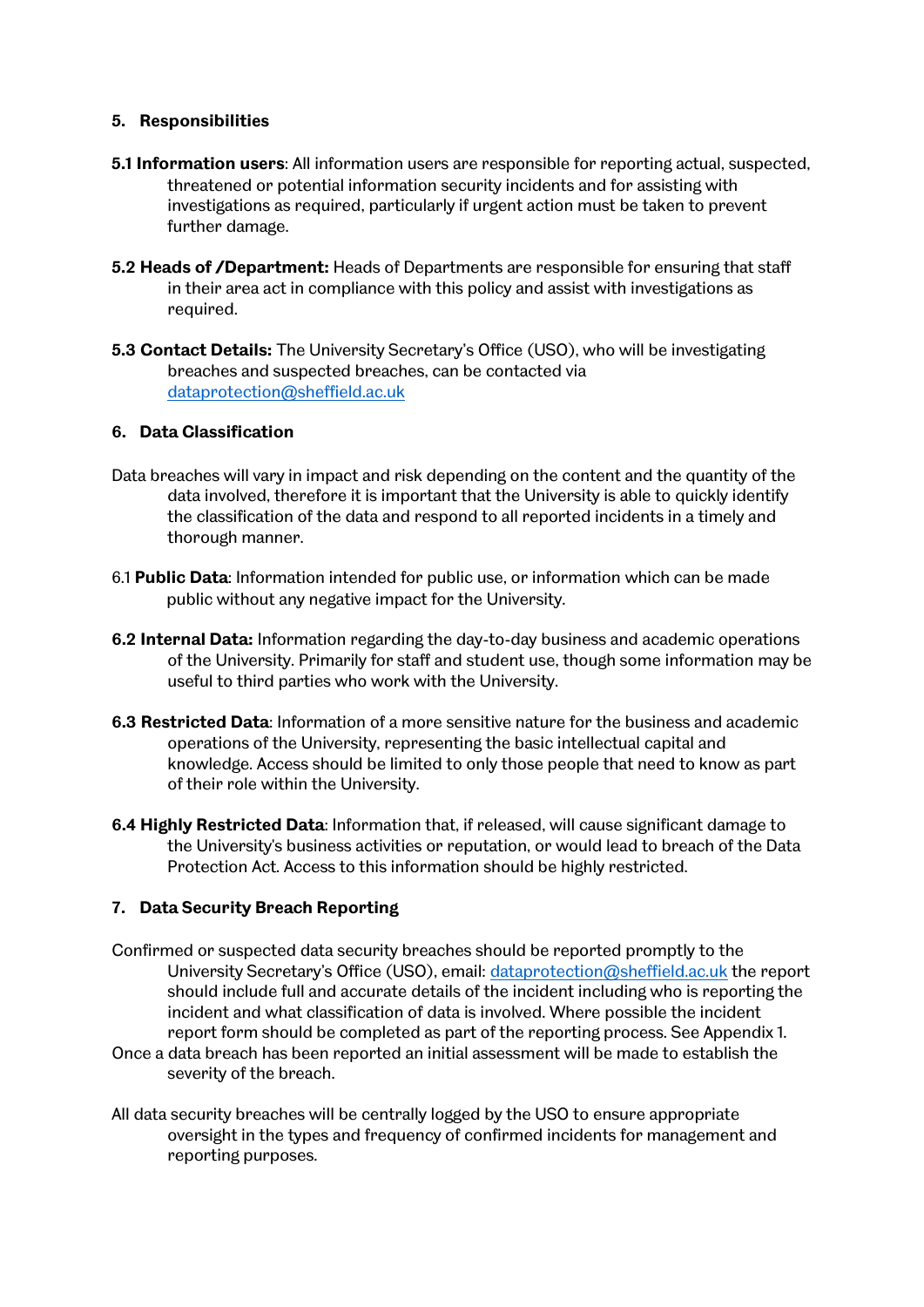#### **5. Responsibilities**

- **5.1 Information users**: All information users are responsible for reporting actual, suspected, threatened or potential information security incidents and for assisting with investigations as required, particularly if urgent action must be taken to prevent further damage.
- **5.2 Heads of /Department:** Heads of Departments are responsible for ensuring that staff in their area act in compliance with this policy and assist with investigations as required.
- **5.3 Contact Details:** The University Secretary's Office (USO), who will be investigating breaches and suspected breaches, can be contacted via [dataprotection@sheffield.ac.uk](mailto:dataprotection@sheffield.ac.uk)

#### **6. Data Classification**

- Data breaches will vary in impact and risk depending on the content and the quantity of the data involved, therefore it is important that the University is able to quickly identify the classification of the data and respond to all reported incidents in a timely and thorough manner.
- 6.1 **Public Data**: Information intended for public use, or information which can be made public without any negative impact for the University.
- **6.2 Internal Data:** Information regarding the day-to-day business and academic operations of the University. Primarily for staff and student use, though some information may be useful to third parties who work with the University.
- **6.3 Restricted Data**: Information of a more sensitive nature for the business and academic operations of the University, representing the basic intellectual capital and knowledge. Access should be limited to only those people that need to know as part of their role within the University.
- **6.4 Highly Restricted Data**: Information that, if released, will cause significant damage to the University's business activities or reputation, or would lead to breach of the Data Protection Act. Access to this information should be highly restricted.

#### **7. Data Security Breach Reporting**

- Confirmed or suspected data security breaches should be reported promptly to the University Secretary's Office (USO), email: [dataprotection@sheffield.ac.uk](mailto:dataprotection@sheffield.ac.uk) the report should include full and accurate details of the incident including who is reporting the incident and what classification of data is involved. Where possible the incident report form should be completed as part of the reporting process. See Appendix 1. Once a data breach has been reported an initial assessment will be made to establish the
- severity of the breach.
- All data security breaches will be centrally logged by the USO to ensure appropriate oversight in the types and frequency of confirmed incidents for management and reporting purposes.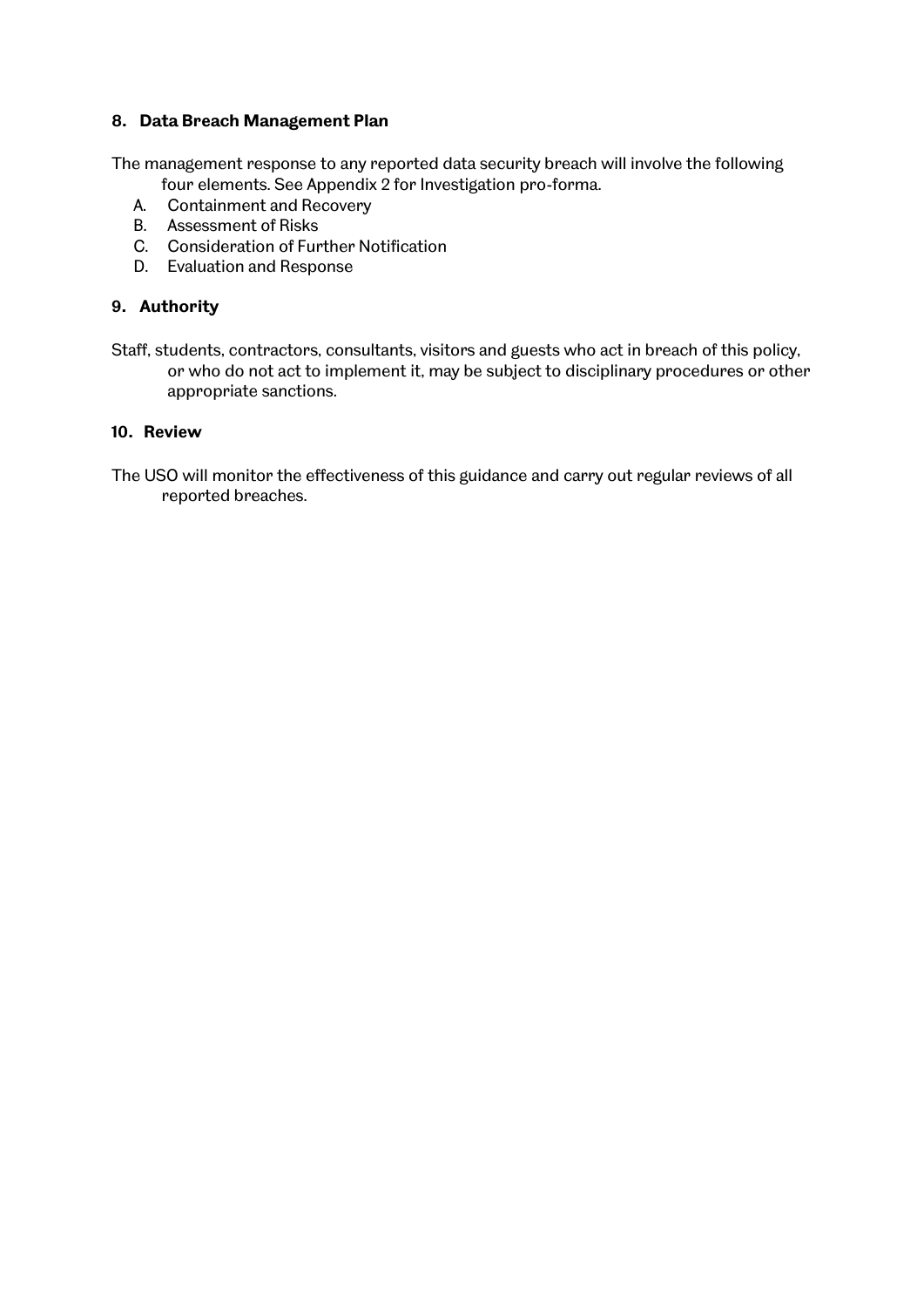#### **8. Data Breach Management Plan**

The management response to any reported data security breach will involve the following

- four elements. See Appendix 2 for Investigation pro-forma.
- A. Containment and Recovery
- B. Assessment of Risks
- C. Consideration of Further Notification
- D. Evaluation and Response

# **9. Authority**

Staff, students, contractors, consultants, visitors and guests who act in breach of this policy, or who do not act to implement it, may be subject to disciplinary procedures or other appropriate sanctions.

# **10. Review**

The USO will monitor the effectiveness of this guidance and carry out regular reviews of all reported breaches.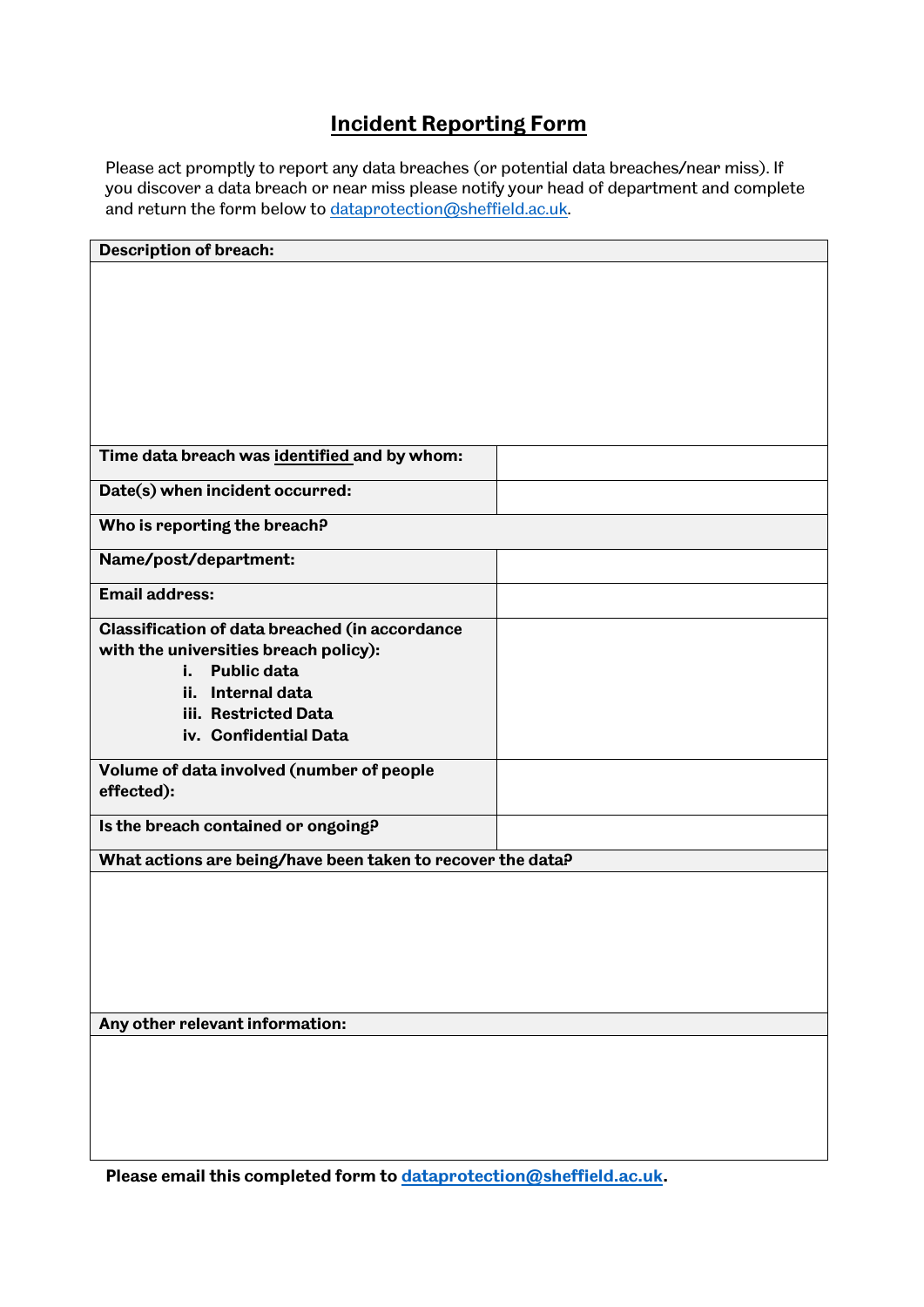# **Incident Reporting Form**

Please act promptly to report any data breaches (or potential data breaches/near miss). If you discover a data breach or near miss please notify your head of department and complete and return the form below t[o dataprotection@sheffield.ac.uk.](mailto:dataprotection@sheffield.ac.uk)

| <b>Description of breach:</b>                               |  |  |
|-------------------------------------------------------------|--|--|
|                                                             |  |  |
|                                                             |  |  |
|                                                             |  |  |
|                                                             |  |  |
|                                                             |  |  |
|                                                             |  |  |
|                                                             |  |  |
| Time data breach was identified and by whom:                |  |  |
|                                                             |  |  |
| Date(s) when incident occurred:                             |  |  |
| Who is reporting the breach?                                |  |  |
| Name/post/department:                                       |  |  |
| <b>Email address:</b>                                       |  |  |
| <b>Classification of data breached (in accordance</b>       |  |  |
| with the universities breach policy):                       |  |  |
| <b>Public data</b><br>i.,                                   |  |  |
| ii. Internal data                                           |  |  |
| iii. Restricted Data                                        |  |  |
| iv. Confidential Data                                       |  |  |
| Volume of data involved (number of people                   |  |  |
| effected):                                                  |  |  |
| Is the breach contained or ongoing?                         |  |  |
|                                                             |  |  |
| What actions are being/have been taken to recover the data? |  |  |
|                                                             |  |  |
|                                                             |  |  |
|                                                             |  |  |
|                                                             |  |  |
|                                                             |  |  |
| Any other relevant information:                             |  |  |
|                                                             |  |  |
|                                                             |  |  |
|                                                             |  |  |
|                                                             |  |  |
|                                                             |  |  |
|                                                             |  |  |

**Please email this completed form to [dataprotection@sheffield.ac.uk.](mailto:dataprotection@sheffield.ac.uk)**